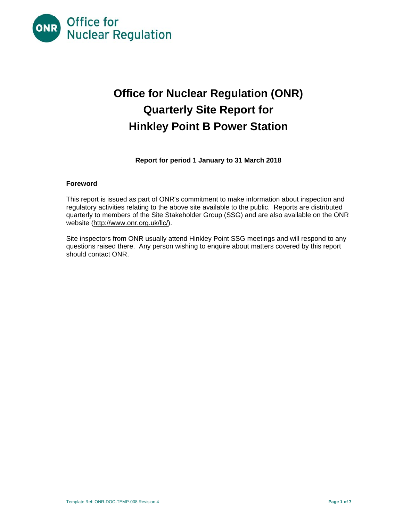

# **Office for Nuclear Regulation (ONR) Quarterly Site Report for Hinkley Point B Power Station**

**Report for period 1 January to 31 March 2018**

#### **Foreword**

This report is issued as part of ONR's commitment to make information about inspection and regulatory activities relating to the above site available to the public. Reports are distributed quarterly to members of the Site Stakeholder Group (SSG) and are also available on the ONR website (http://www.onr.org.uk/llc/).

Site inspectors from ONR usually attend Hinkley Point SSG meetings and will respond to any questions raised there. Any person wishing to enquire about matters covered by this report should contact ONR.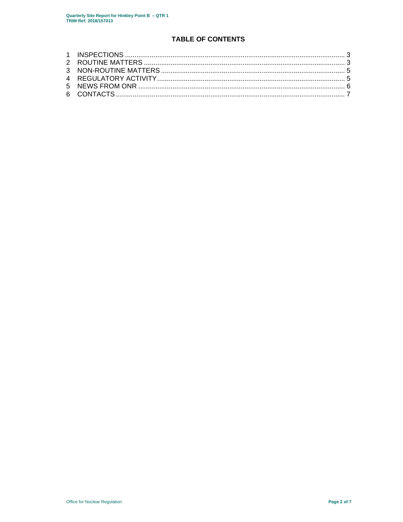## **TABLE OF CONTENTS**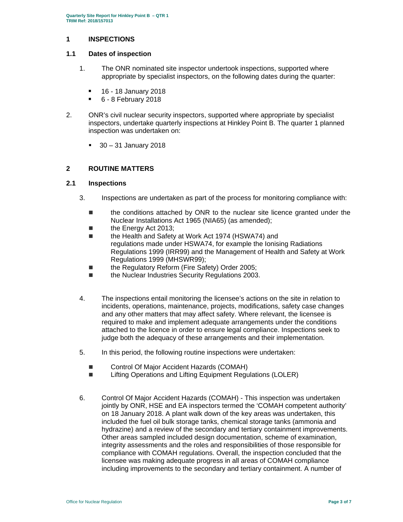#### **1 INSPECTIONS**

#### **1.1 Dates of inspection**

- 1. The ONR nominated site inspector undertook inspections, supported where appropriate by specialist inspectors, on the following dates during the quarter:
	- **16 18 January 2018**
	- 6 8 February 2018
- 2. ONR's civil nuclear security inspectors, supported where appropriate by specialist inspectors, undertake quarterly inspections at Hinkley Point B. The quarter 1 planned inspection was undertaken on:
	- $\blacksquare$  30 31 January 2018

## **2 ROUTINE MATTERS**

#### **2.1 Inspections**

- 3. Inspections are undertaken as part of the process for monitoring compliance with:
	- the conditions attached by ONR to the nuclear site licence granted under the Nuclear Installations Act 1965 (NIA65) (as amended);
	- the Energy Act 2013;
	- the Health and Safety at Work Act 1974 (HSWA74) and regulations made under HSWA74, for example the Ionising Radiations Regulations 1999 (IRR99) and the Management of Health and Safety at Work Regulations 1999 (MHSWR99);
	- the Regulatory Reform (Fire Safety) Order 2005;
	- the Nuclear Industries Security Regulations 2003.
- 4. The inspections entail monitoring the licensee's actions on the site in relation to incidents, operations, maintenance, projects, modifications, safety case changes and any other matters that may affect safety. Where relevant, the licensee is required to make and implement adequate arrangements under the conditions attached to the licence in order to ensure legal compliance. Inspections seek to judge both the adequacy of these arrangements and their implementation.
- 5. In this period, the following routine inspections were undertaken:
	- Control Of Major Accident Hazards (COMAH)
	- Lifting Operations and Lifting Equipment Regulations (LOLER)
- 6. Control Of Major Accident Hazards (COMAH) This inspection was undertaken jointly by ONR, HSE and EA inspectors termed the 'COMAH competent authority' on 18 January 2018. A plant walk down of the key areas was undertaken, this included the fuel oil bulk storage tanks, chemical storage tanks (ammonia and hydrazine) and a review of the secondary and tertiary containment improvements. Other areas sampled included design documentation, scheme of examination, integrity assessments and the roles and responsibilities of those responsible for compliance with COMAH regulations. Overall, the inspection concluded that the licensee was making adequate progress in all areas of COMAH compliance including improvements to the secondary and tertiary containment. A number of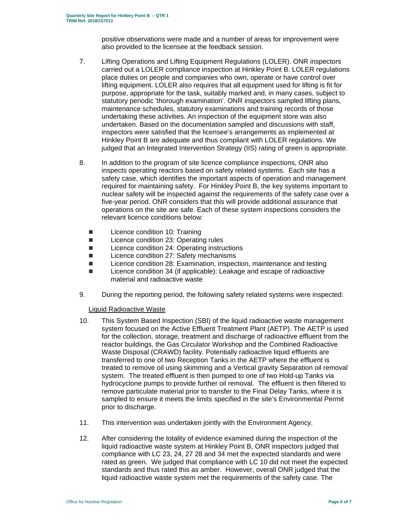positive observations were made and a number of areas for improvement were also provided to the licensee at the feedback session.

- 7. Lifting Operations and Lifting Equipment Regulations (LOLER). ONR inspectors carried out a LOLER compliance inspection at Hinkley Point B. LOLER regulations place duties on people and companies who own, operate or have control over lifting equipment. LOLER also requires that all equipment used for lifting is fit for purpose, appropriate for the task, suitably marked and, in many cases, subject to statutory periodic 'thorough examination'. ONR inspectors sampled lifting plans, maintenance schedules, statutory examinations and training records of those undertaking these activities. An inspection of the equipment store was also undertaken. Based on the documentation sampled and discussions with staff, inspectors were satisfied that the licensee's arrangements as implemented at Hinkley Point B are adequate and thus compliant with LOLER regulations. We judged that an Integrated Intervention Strategy (IIS) rating of green is appropriate.
- 8. In addition to the program of site licence compliance inspections, ONR also inspects operating reactors based on safety related systems. Each site has a safety case, which identifies the important aspects of operation and management required for maintaining safety. For Hinkley Point B, the key systems important to nuclear safety will be inspected against the requirements of the safety case over a five-year period. ONR considers that this will provide additional assurance that operations on the site are safe. Each of these system inspections considers the relevant licence conditions below:
	- Licence condition 10: Training
	- Licence condition 23: Operating rules
	- Licence condition 24: Operating instructions
	- Licence condition 27: Safety mechanisms
	- Licence condition 28: Examination, inspection, maintenance and testing
	- Licence condition 34 (if applicable): Leakage and escape of radioactive material and radioactive waste
- 9. During the reporting period, the following safety related systems were inspected:

Liquid Radioactive Waste

- 10. This System Based Inspection (SBI) of the liquid radioactive waste management system focused on the Active Effluent Treatment Plant (AETP). The AETP is used for the collection, storage, treatment and discharge of radioactive effluent from the reactor buildings, the Gas Circulator Workshop and the Combined Radioactive Waste Disposal (CRAWD) facility. Potentially radioactive liquid effluents are transferred to one of two Reception Tanks in the AETP where the effluent is treated to remove oil using skimming and a Vertical gravity Separation oil removal system. The treated effluent is then pumped to one of two Hold-up Tanks via hydrocyclone pumps to provide further oil removal. The effluent is then filtered to remove particulate material prior to transfer to the Final Delay Tanks, where it is sampled to ensure it meets the limits specified in the site's Environmental Permit prior to discharge.
- 11. This intervention was undertaken jointly with the Environment Agency.
- 12. After considering the totality of evidence examined during the inspection of the liquid radioactive waste system at Hinkley Point B, ONR inspectors judged that compliance with LC 23, 24, 27 28 and 34 met the expected standards and were rated as green. We judged that compliance with LC 10 did not meet the expected standards and thus rated this as amber. However, overall ONR judged that the liquid radioactive waste system met the requirements of the safety case. The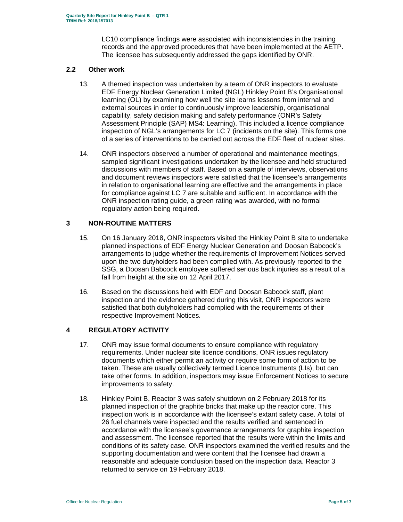LC10 compliance findings were associated with inconsistencies in the training records and the approved procedures that have been implemented at the AETP. The licensee has subsequently addressed the gaps identified by ONR.

#### **2.2 Other work**

- 13. A themed inspection was undertaken by a team of ONR inspectors to evaluate EDF Energy Nuclear Generation Limited (NGL) Hinkley Point B's Organisational learning (OL) by examining how well the site learns lessons from internal and external sources in order to continuously improve leadership, organisational capability, safety decision making and safety performance (ONR's Safety Assessment Principle (SAP) MS4: Learning). This included a licence compliance inspection of NGL's arrangements for LC 7 (incidents on the site). This forms one of a series of interventions to be carried out across the EDF fleet of nuclear sites.
- 14. ONR inspectors observed a number of operational and maintenance meetings, sampled significant investigations undertaken by the licensee and held structured discussions with members of staff. Based on a sample of interviews, observations and document reviews inspectors were satisfied that the licensee's arrangements in relation to organisational learning are effective and the arrangements in place for compliance against LC 7 are suitable and sufficient. In accordance with the ONR inspection rating guide, a green rating was awarded, with no formal regulatory action being required.

## **3 NON-ROUTINE MATTERS**

- 15. On 16 January 2018, ONR inspectors visited the Hinkley Point B site to undertake planned inspections of EDF Energy Nuclear Generation and Doosan Babcock's arrangements to judge whether the requirements of Improvement Notices served upon the two dutyholders had been complied with. As previously reported to the SSG, a Doosan Babcock employee suffered serious back injuries as a result of a fall from height at the site on 12 April 2017.
- 16. Based on the discussions held with EDF and Doosan Babcock staff, plant inspection and the evidence gathered during this visit, ONR inspectors were satisfied that both dutyholders had complied with the requirements of their respective Improvement Notices.

## **4 REGULATORY ACTIVITY**

- 17. ONR may issue formal documents to ensure compliance with regulatory requirements. Under nuclear site licence conditions, ONR issues regulatory documents which either permit an activity or require some form of action to be taken. These are usually collectively termed Licence Instruments (LIs), but can take other forms. In addition, inspectors may issue Enforcement Notices to secure improvements to safety.
- 18. Hinkley Point B, Reactor 3 was safely shutdown on 2 February 2018 for its planned inspection of the graphite bricks that make up the reactor core. This inspection work is in accordance with the licensee's extant safety case. A total of 26 fuel channels were inspected and the results verified and sentenced in accordance with the licensee's governance arrangements for graphite inspection and assessment. The licensee reported that the results were within the limits and conditions of its safety case. ONR inspectors examined the verified results and the supporting documentation and were content that the licensee had drawn a reasonable and adequate conclusion based on the inspection data. Reactor 3 returned to service on 19 February 2018.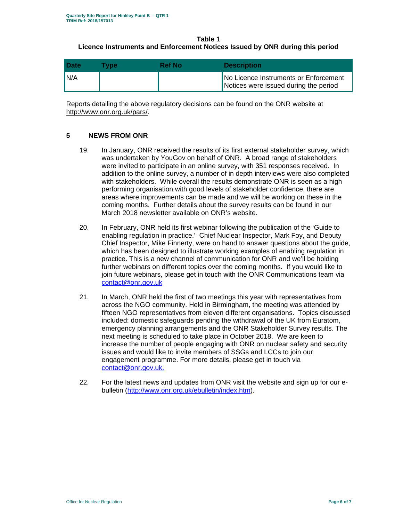**Table 1** 

## **Licence Instruments and Enforcement Notices Issued by ONR during this period**

| <b>Date</b> | <b>Type</b> | Ref No | <b>Description</b>                                                             |
|-------------|-------------|--------|--------------------------------------------------------------------------------|
| N/A         |             |        | No Licence Instruments or Enforcement<br>Notices were issued during the period |

Reports detailing the above regulatory decisions can be found on the ONR website at http://www.onr.org.uk/pars/.

## **5 NEWS FROM ONR**

- 19. In January, ONR received the results of its first external stakeholder survey, which was undertaken by YouGov on behalf of ONR. A broad range of stakeholders were invited to participate in an online survey, with 351 responses received. In addition to the online survey, a number of in depth interviews were also completed with stakeholders. While overall the results demonstrate ONR is seen as a high performing organisation with good levels of stakeholder confidence, there are areas where improvements can be made and we will be working on these in the coming months. Further details about the survey results can be found in our March 2018 newsletter available on ONR's website.
- 20. In February, ONR held its first webinar following the publication of the 'Guide to enabling regulation in practice.' Chief Nuclear Inspector, Mark Foy, and Deputy Chief Inspector, Mike Finnerty, were on hand to answer questions about the guide, which has been designed to illustrate working examples of enabling regulation in practice. This is a new channel of communication for ONR and we'll be holding further webinars on different topics over the coming months. If you would like to join future webinars, please get in touch with the ONR Communications team via contact@onr.gov.uk
- 21. In March, ONR held the first of two meetings this year with representatives from across the NGO community. Held in Birmingham, the meeting was attended by fifteen NGO representatives from eleven different organisations. Topics discussed included: domestic safeguards pending the withdrawal of the UK from Euratom, emergency planning arrangements and the ONR Stakeholder Survey results. The next meeting is scheduled to take place in October 2018. We are keen to increase the number of people engaging with ONR on nuclear safety and security issues and would like to invite members of SSGs and LCCs to join our engagement programme. For more details, please get in touch via contact@onr.gov.uk.
- 22. For the latest news and updates from ONR visit the website and sign up for our ebulletin (http://www.onr.org.uk/ebulletin/index.htm).